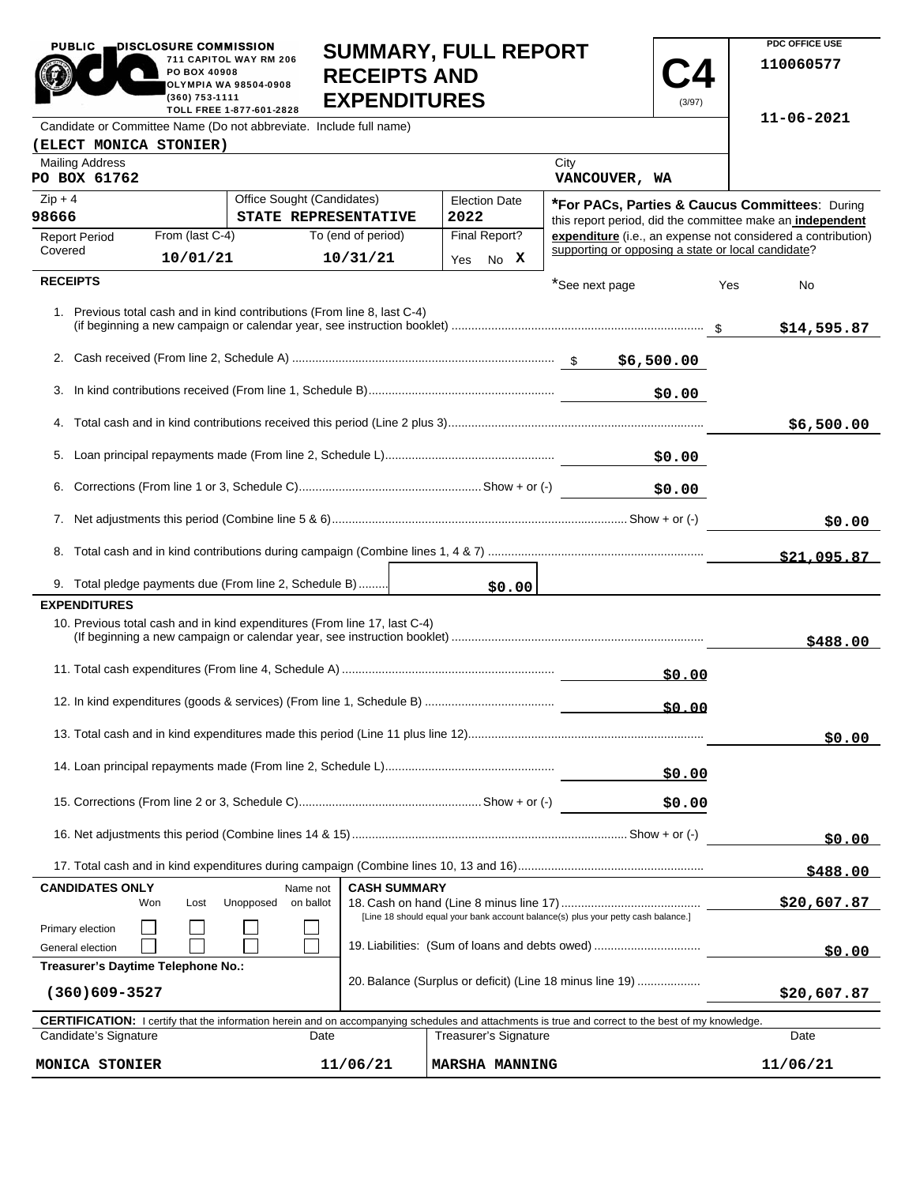| <b>PUBLIC</b>                                       | DISCLOSURE COMMISSION<br>PO BOX 40908<br>(360) 753-1111                                                                    | 711 CAPITOL WAY RM 206<br>OLYMPIA WA 98504-0908<br>TOLL FREE 1-877-601-2828 | <b>SUMMARY, FULL REPORT</b><br><b>RECEIPTS AND</b><br><b>EXPENDITURES</b> |                       |        |                                                                                                                                                            | (3/97)      |          | PDC OFFICE USE<br>110060577                                  |
|-----------------------------------------------------|----------------------------------------------------------------------------------------------------------------------------|-----------------------------------------------------------------------------|---------------------------------------------------------------------------|-----------------------|--------|------------------------------------------------------------------------------------------------------------------------------------------------------------|-------------|----------|--------------------------------------------------------------|
|                                                     |                                                                                                                            | Candidate or Committee Name (Do not abbreviate. Include full name)          |                                                                           |                       |        |                                                                                                                                                            |             |          | 11-06-2021                                                   |
| (ELECT MONICA STONIER)                              |                                                                                                                            |                                                                             |                                                                           |                       |        |                                                                                                                                                            |             |          |                                                              |
| <b>Mailing Address</b><br>PO BOX 61762              |                                                                                                                            |                                                                             |                                                                           |                       |        | City<br>VANCOUVER, WA                                                                                                                                      |             |          |                                                              |
| $Zip + 4$                                           |                                                                                                                            | Office Sought (Candidates)                                                  |                                                                           | <b>Election Date</b>  |        | *For PACs, Parties & Caucus Committees: During                                                                                                             |             |          |                                                              |
| 98666                                               |                                                                                                                            | STATE REPRESENTATIVE                                                        |                                                                           | 2022                  |        |                                                                                                                                                            |             |          | this report period, did the committee make an independent    |
| <b>Report Period</b><br>Covered                     | From (last C-4)                                                                                                            |                                                                             | To (end of period)                                                        | Final Report?         |        | supporting or opposing a state or local candidate?                                                                                                         |             |          | expenditure (i.e., an expense not considered a contribution) |
|                                                     | 10/01/21                                                                                                                   |                                                                             | 10/31/21                                                                  | Yes                   | No X   |                                                                                                                                                            |             |          |                                                              |
| <b>RECEIPTS</b>                                     |                                                                                                                            |                                                                             |                                                                           |                       |        | *See next page                                                                                                                                             |             | Yes      | No                                                           |
|                                                     |                                                                                                                            | 1. Previous total cash and in kind contributions (From line 8, last C-4)    |                                                                           |                       |        |                                                                                                                                                            |             |          | \$14,595.87                                                  |
|                                                     |                                                                                                                            |                                                                             |                                                                           |                       |        |                                                                                                                                                            |             |          |                                                              |
|                                                     |                                                                                                                            |                                                                             |                                                                           |                       |        |                                                                                                                                                            | \$0.00      |          |                                                              |
|                                                     |                                                                                                                            |                                                                             |                                                                           |                       |        |                                                                                                                                                            |             |          |                                                              |
|                                                     |                                                                                                                            |                                                                             |                                                                           |                       |        |                                                                                                                                                            |             |          | \$6,500.00                                                   |
|                                                     |                                                                                                                            |                                                                             |                                                                           |                       |        |                                                                                                                                                            |             |          |                                                              |
|                                                     |                                                                                                                            |                                                                             |                                                                           |                       |        |                                                                                                                                                            | \$0.00      |          |                                                              |
|                                                     |                                                                                                                            |                                                                             |                                                                           |                       |        |                                                                                                                                                            |             |          | \$0.00                                                       |
|                                                     |                                                                                                                            |                                                                             |                                                                           |                       |        |                                                                                                                                                            |             |          | \$21,095.87                                                  |
|                                                     |                                                                                                                            | 9. Total pledge payments due (From line 2, Schedule B)                      |                                                                           |                       | \$0.00 |                                                                                                                                                            |             |          |                                                              |
| <b>EXPENDITURES</b>                                 |                                                                                                                            |                                                                             |                                                                           |                       |        |                                                                                                                                                            |             |          |                                                              |
|                                                     |                                                                                                                            | 10. Previous total cash and in kind expenditures (From line 17, last C-4)   |                                                                           |                       |        |                                                                                                                                                            |             |          | \$488.00                                                     |
|                                                     |                                                                                                                            |                                                                             |                                                                           |                       |        |                                                                                                                                                            | \$0.00      |          |                                                              |
|                                                     |                                                                                                                            |                                                                             |                                                                           |                       |        |                                                                                                                                                            | \$0.00      |          |                                                              |
|                                                     |                                                                                                                            |                                                                             |                                                                           |                       |        |                                                                                                                                                            |             |          | \$0.00                                                       |
|                                                     |                                                                                                                            |                                                                             |                                                                           |                       |        |                                                                                                                                                            | \$0.00      |          |                                                              |
|                                                     |                                                                                                                            |                                                                             |                                                                           |                       |        |                                                                                                                                                            | \$0.00      |          |                                                              |
|                                                     |                                                                                                                            |                                                                             |                                                                           |                       |        |                                                                                                                                                            |             |          | \$0.00                                                       |
|                                                     |                                                                                                                            |                                                                             |                                                                           |                       |        |                                                                                                                                                            |             |          | \$488.00                                                     |
| <b>CANDIDATES ONLY</b>                              |                                                                                                                            | Name not                                                                    | <b>CASH SUMMARY</b>                                                       |                       |        |                                                                                                                                                            |             |          |                                                              |
|                                                     | Unopposed<br>on ballot<br>Won<br>Lost<br>[Line 18 should equal your bank account balance(s) plus your petty cash balance.] |                                                                             |                                                                           |                       |        |                                                                                                                                                            | \$20,607.87 |          |                                                              |
| Primary election<br>General election                |                                                                                                                            |                                                                             |                                                                           |                       |        | 19. Liabilities: (Sum of loans and debts owed)                                                                                                             |             |          | \$0.00                                                       |
|                                                     | Treasurer's Daytime Telephone No.:<br>20. Balance (Surplus or deficit) (Line 18 minus line 19)                             |                                                                             |                                                                           |                       |        |                                                                                                                                                            |             |          |                                                              |
| $(360)609 - 3527$                                   |                                                                                                                            |                                                                             |                                                                           |                       |        |                                                                                                                                                            |             |          | \$20,607.87                                                  |
|                                                     |                                                                                                                            |                                                                             |                                                                           |                       |        | <b>CERTIFICATION:</b> I certify that the information herein and on accompanying schedules and attachments is true and correct to the best of my knowledge. |             |          |                                                              |
| Candidate's Signature                               |                                                                                                                            | Date                                                                        |                                                                           | Treasurer's Signature |        |                                                                                                                                                            |             |          | Date                                                         |
| MONICA STONIER<br>11/06/21<br><b>MARSHA MANNING</b> |                                                                                                                            |                                                                             |                                                                           |                       |        |                                                                                                                                                            |             | 11/06/21 |                                                              |

**PDC OFFICE USE** 

PUBLIC **DISCLOSURE COMMISSION**